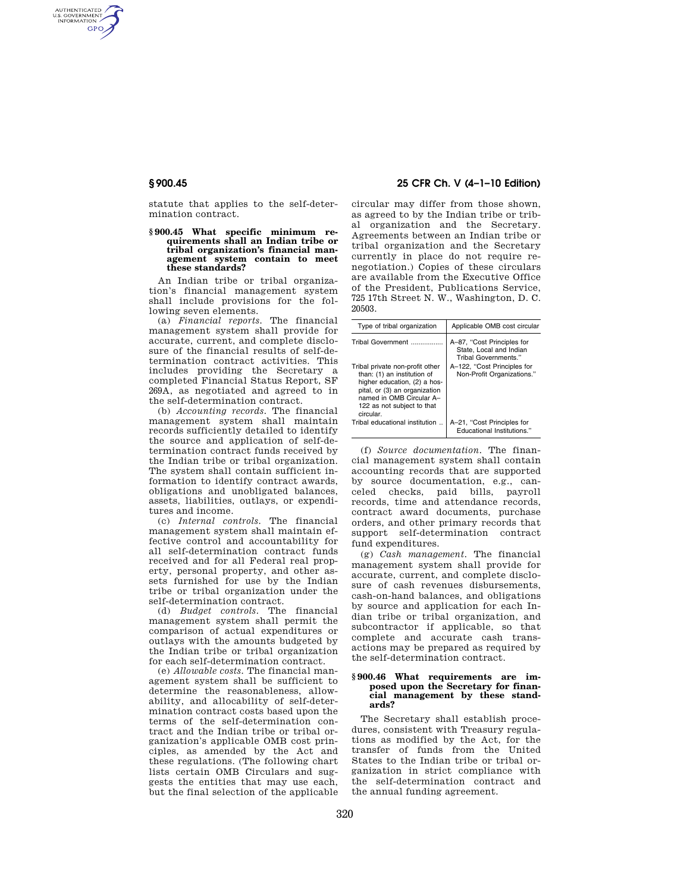AUTHENTICATED<br>U.S. GOVERNMENT<br>INFORMATION **GPO** 

> statute that applies to the self-determination contract.

### **§ 900.45 What specific minimum requirements shall an Indian tribe or tribal organization's financial management system contain to meet these standards?**

An Indian tribe or tribal organization's financial management system shall include provisions for the following seven elements.

(a) *Financial reports.* The financial management system shall provide for accurate, current, and complete disclosure of the financial results of self-determination contract activities. This includes providing the Secretary a completed Financial Status Report, SF 269A, as negotiated and agreed to in the self-determination contract.

(b) *Accounting records.* The financial management system shall maintain records sufficiently detailed to identify the source and application of self-determination contract funds received by the Indian tribe or tribal organization. The system shall contain sufficient information to identify contract awards, obligations and unobligated balances, assets, liabilities, outlays, or expenditures and income.

(c) *Internal controls.* The financial management system shall maintain effective control and accountability for all self-determination contract funds received and for all Federal real property, personal property, and other assets furnished for use by the Indian tribe or tribal organization under the self-determination contract.

(d) *Budget controls.* The financial management system shall permit the comparison of actual expenditures or outlays with the amounts budgeted by the Indian tribe or tribal organization for each self-determination contract.

(e) *Allowable costs.* The financial management system shall be sufficient to determine the reasonableness, allowability, and allocability of self-determination contract costs based upon the terms of the self-determination contract and the Indian tribe or tribal organization's applicable OMB cost principles, as amended by the Act and these regulations. (The following chart lists certain OMB Circulars and suggests the entities that may use each, but the final selection of the applicable

# **§ 900.45 25 CFR Ch. V (4–1–10 Edition)**

circular may differ from those shown, as agreed to by the Indian tribe or tribal organization and the Secretary. Agreements between an Indian tribe or tribal organization and the Secretary currently in place do not require renegotiation.) Copies of these circulars are available from the Executive Office of the President, Publications Service, 725 17th Street N. W., Washington, D. C. 20503.

| Type of tribal organization                                                                                                                                                                            | Applicable OMB cost circular                                                  |
|--------------------------------------------------------------------------------------------------------------------------------------------------------------------------------------------------------|-------------------------------------------------------------------------------|
| Tribal Government                                                                                                                                                                                      | A-87, "Cost Principles for<br>State, Local and Indian<br>Tribal Governments." |
| Tribal private non-profit other<br>than: (1) an institution of<br>higher education, (2) a hos-<br>pital, or (3) an organization<br>named in OMB Circular A-<br>122 as not subject to that<br>circular. | A-122, "Cost Principles for<br>Non-Profit Organizations."                     |
| Tribal educational institution                                                                                                                                                                         | A-21, "Cost Principles for<br>Educational Institutions."                      |

(f) *Source documentation.* The financial management system shall contain accounting records that are supported by source documentation, e.g., canceled checks, paid bills, payroll records, time and attendance records, contract award documents, purchase orders, and other primary records that support self-determination contract fund expenditures.

(g) *Cash management.* The financial management system shall provide for accurate, current, and complete disclosure of cash revenues disbursements, cash-on-hand balances, and obligations by source and application for each Indian tribe or tribal organization, and subcontractor if applicable, so that complete and accurate cash transactions may be prepared as required by the self-determination contract.

## **§ 900.46 What requirements are imposed upon the Secretary for financial management by these standards?**

The Secretary shall establish procedures, consistent with Treasury regulations as modified by the Act, for the transfer of funds from the United States to the Indian tribe or tribal organization in strict compliance with the self-determination contract and the annual funding agreement.